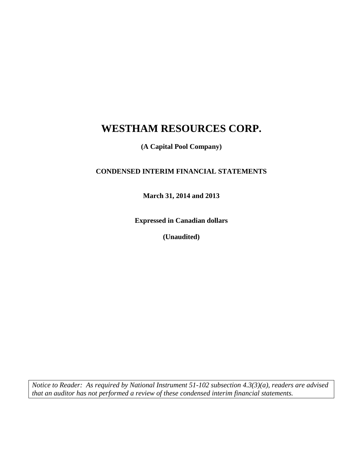**(A Capital Pool Company)**

# **CONDENSED INTERIM FINANCIAL STATEMENTS**

**March 31, 2014 and 2013**

**Expressed in Canadian dollars**

**(Unaudited)**

*Notice to Reader: As required by National Instrument 51-102 subsection 4.3(3)(a), readers are advised that an auditor has not performed a review of these condensed interim financial statements.*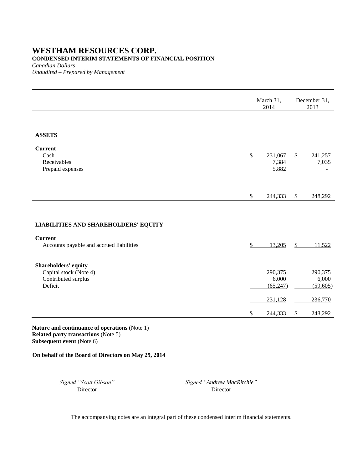### **CONDENSED INTERIM STATEMENTS OF FINANCIAL POSITION**

*Canadian Dollars*

*Unaudited – Prepared by Management*

|                                                                                  | March 31,<br>2014                        |               | December 31,<br>2013                         |
|----------------------------------------------------------------------------------|------------------------------------------|---------------|----------------------------------------------|
| <b>ASSETS</b><br><b>Current</b><br>Cash<br>Receivables<br>Prepaid expenses       | \$<br>231,067<br>7,384<br>5,882          | \$            | 241,257<br>7,035<br>$\overline{\phantom{0}}$ |
|                                                                                  | \$<br>244,333                            | $\mathbb{S}$  | 248,292                                      |
| LIABILITIES AND SHAREHOLDERS' EQUITY                                             |                                          |               |                                              |
| <b>Current</b><br>Accounts payable and accrued liabilities                       | \$<br>13,205                             | $\mathcal{S}$ | 11,522                                       |
| Shareholders' equity<br>Capital stock (Note 4)<br>Contributed surplus<br>Deficit | 290,375<br>6,000<br>(65, 247)<br>231,128 |               | 290,375<br>6,000<br>(59,605)<br>236,770      |
|                                                                                  | \$<br>244,333                            | \$            | 248,292                                      |

**Nature and continuance of operations** (Note 1) **Related party transactions** (Note 5) **Subsequent event** (Note 6)

### **On behalf of the Board of Directors on May 29, 2014**

Director Director

*Signed "Scott Gibson" Signed "Andrew MacRitchie"*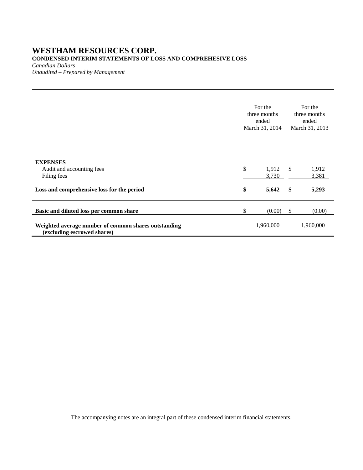# **CONDENSED INTERIM STATEMENTS OF LOSS AND COMPREHESIVE LOSS**

*Canadian Dollars*

*Unaudited – Prepared by Management*

|                                                                                                                                | For the<br>three months<br>ended<br>March 31, 2014 |                         |                    | For the<br>three months<br>ended<br>March 31, 2013 |  |
|--------------------------------------------------------------------------------------------------------------------------------|----------------------------------------------------|-------------------------|--------------------|----------------------------------------------------|--|
| <b>EXPENSES</b><br>Audit and accounting fees<br>Filing fees<br>Loss and comprehensive loss for the period                      | \$<br>\$                                           | 1,912<br>3,730<br>5,642 | $\mathbb{S}$<br>\$ | 1,912<br>3,381<br>5,293                            |  |
| Basic and diluted loss per common share<br>Weighted average number of common shares outstanding<br>(excluding escrowed shares) | \$                                                 | (0.00)<br>1,960,000     | \$                 | (0.00)<br>1,960,000                                |  |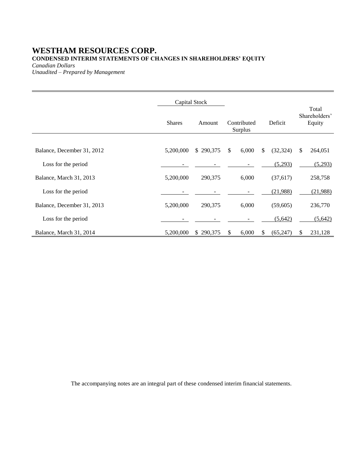# **WESTHAM RESOURCES CORP. CONDENSED INTERIM STATEMENTS OF CHANGES IN SHAREHOLDERS' EQUITY**

*Canadian Dollars*

*Unaudited – Prepared by Management*

|                            | Capital Stock |           |              |                        |                 | Total                   |
|----------------------------|---------------|-----------|--------------|------------------------|-----------------|-------------------------|
|                            | <b>Shares</b> | Amount    |              | Contributed<br>Surplus | Deficit         | Shareholders'<br>Equity |
|                            |               |           |              |                        |                 |                         |
| Balance, December 31, 2012 | 5,200,000     | \$290,375 | $\mathbb{S}$ | 6,000                  | \$<br>(32, 324) | \$<br>264,051           |
| Loss for the period        |               |           |              |                        | (5,293)         | (5,293)                 |
| Balance, March 31, 2013    | 5,200,000     | 290,375   |              | 6,000                  | (37,617)        | 258,758                 |
| Loss for the period        |               |           |              |                        | (21,988)        | (21,988)                |
| Balance, December 31, 2013 | 5,200,000     | 290,375   |              | 6,000                  | (59,605)        | 236,770                 |
| Loss for the period        |               |           |              |                        | (5,642)         | (5,642)                 |
| Balance, March 31, 2014    | 5,200,000     | \$290,375 | S            | 6,000                  | \$<br>(65, 247) | \$<br>231,128           |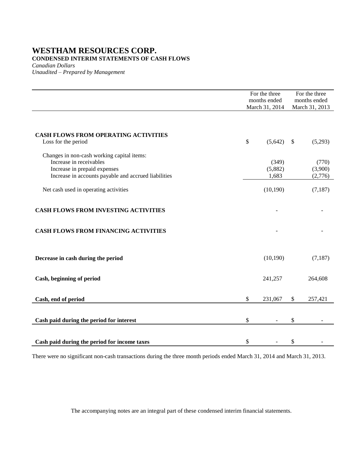### **CONDENSED INTERIM STATEMENTS OF CASH FLOWS**

*Canadian Dollars*

*Unaudited – Prepared by Management*

|                                                                                                                                                               | For the three<br>months ended<br>March 31, 2014 |    | For the three<br>months ended<br>March 31, 2013 |
|---------------------------------------------------------------------------------------------------------------------------------------------------------------|-------------------------------------------------|----|-------------------------------------------------|
| <b>CASH FLOWS FROM OPERATING ACTIVITIES</b><br>Loss for the period                                                                                            | \$<br>(5,642)                                   | -S | (5,293)                                         |
| Changes in non-cash working capital items:<br>Increase in receivables<br>Increase in prepaid expenses<br>Increase in accounts payable and accrued liabilities | (349)<br>(5,882)<br>1,683                       |    | (770)<br>(3,900)<br>(2,776)                     |
| Net cash used in operating activities                                                                                                                         | (10, 190)                                       |    | (7,187)                                         |
| <b>CASH FLOWS FROM INVESTING ACTIVITIES</b>                                                                                                                   |                                                 |    |                                                 |
| <b>CASH FLOWS FROM FINANCING ACTIVITIES</b>                                                                                                                   |                                                 |    |                                                 |
| Decrease in cash during the period                                                                                                                            | (10, 190)                                       |    | (7,187)                                         |
| Cash, beginning of period                                                                                                                                     | 241,257                                         |    | 264,608                                         |
| Cash, end of period                                                                                                                                           | \$<br>231,067                                   | \$ | 257,421                                         |
| Cash paid during the period for interest                                                                                                                      | \$<br>$\blacksquare$                            | \$ |                                                 |
| Cash paid during the period for income taxes                                                                                                                  | \$                                              | \$ |                                                 |

There were no significant non-cash transactions during the three month periods ended March 31, 2014 and March 31, 2013.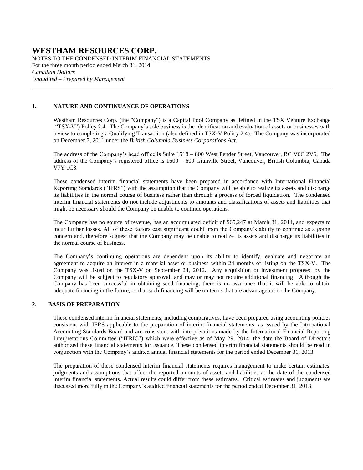NOTES TO THE CONDENSED INTERIM FINANCIAL STATEMENTS For the three month period ended March 31, 2014 *Canadian Dollars Unaudited – Prepared by Management*

#### **1. NATURE AND CONTINUANCE OF OPERATIONS**

Westham Resources Corp. (the "Company") is a Capital Pool Company as defined in the TSX Venture Exchange ("TSX-V") Policy 2.4. The Company's sole business is the identification and evaluation of assets or businesses with a view to completing a Qualifying Transaction (also defined in TSX-V Policy 2.4). The Company was incorporated on December 7, 2011 under the *British Columbia Business Corporations Act*.

The address of the Company's head office is Suite 1518 – 800 West Pender Street, Vancouver, BC V6C 2V6. The address of the Company's registered office is 1600 – 609 Granville Street, Vancouver, British Columbia, Canada V7Y 1C3.

These condensed interim financial statements have been prepared in accordance with International Financial Reporting Standards ("IFRS") with the assumption that the Company will be able to realize its assets and discharge its liabilities in the normal course of business rather than through a process of forced liquidation. The condensed interim financial statements do not include adjustments to amounts and classifications of assets and liabilities that might be necessary should the Company be unable to continue operations.

The Company has no source of revenue, has an accumulated deficit of \$65,247 at March 31, 2014, and expects to incur further losses. All of these factors cast significant doubt upon the Company's ability to continue as a going concern and, therefore suggest that the Company may be unable to realize its assets and discharge its liabilities in the normal course of business.

The Company's continuing operations are dependent upon its ability to identify, evaluate and negotiate an agreement to acquire an interest in a material asset or business within 24 months of listing on the TSX-V. The Company was listed on the TSX-V on September 24, 2012. Any acquisition or investment proposed by the Company will be subject to regulatory approval, and may or may not require additional financing. Although the Company has been successful in obtaining seed financing, there is no assurance that it will be able to obtain adequate financing in the future, or that such financing will be on terms that are advantageous to the Company.

#### **2. BASIS OF PREPARATION**

These condensed interim financial statements, including comparatives, have been prepared using accounting policies consistent with IFRS applicable to the preparation of interim financial statements, as issued by the International Accounting Standards Board and are consistent with interpretations made by the International Financial Reporting Interpretations Committee ("IFRIC") which were effective as of May 29, 2014, the date the Board of Directors authorized these financial statements for issuance. These condensed interim financial statements should be read in conjunction with the Company's audited annual financial statements for the period ended December 31, 2013.

The preparation of these condensed interim financial statements requires management to make certain estimates, judgments and assumptions that affect the reported amounts of assets and liabilities at the date of the condensed interim financial statements. Actual results could differ from these estimates. Critical estimates and judgments are discussed more fully in the Company's audited financial statements for the period ended December 31, 2013.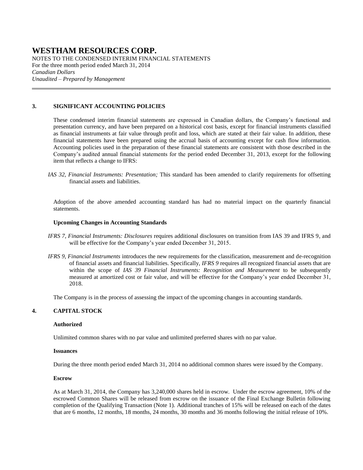NOTES TO THE CONDENSED INTERIM FINANCIAL STATEMENTS For the three month period ended March 31, 2014 *Canadian Dollars Unaudited – Prepared by Management*

#### **3. SIGNIFICANT ACCOUNTING POLICIES**

These condensed interim financial statements are expressed in Canadian dollars, the Company's functional and presentation currency, and have been prepared on a historical cost basis, except for financial instruments classified as financial instruments at fair value through profit and loss, which are stated at their fair value. In addition, these financial statements have been prepared using the accrual basis of accounting except for cash flow information. Accounting policies used in the preparation of these financial statements are consistent with those described in the Company's audited annual financial statements for the period ended December 31, 2013, except for the following item that reflects a change to IFRS:

*IAS 32, Financial Instruments: Presentation;* This standard has been amended to clarify requirements for offsetting financial assets and liabilities.

Adoption of the above amended accounting standard has had no material impact on the quarterly financial statements.

#### **Upcoming Changes in Accounting Standards**

- *IFRS 7, Financial Instruments: Disclosures* requires additional disclosures on transition from IAS 39 and IFRS 9, and will be effective for the Company's year ended December 31, 2015.
- *IFRS 9, Financial Instruments* introduces the new requirements for the classification, measurement and de-recognition of financial assets and financial liabilities. Specifically, *IFRS 9* requires all recognized financial assets that are within the scope of *IAS 39 Financial Instruments: Recognition and Measurement* to be subsequently measured at amortized cost or fair value, and will be effective for the Company's year ended December 31, 2018.

The Company is in the process of assessing the impact of the upcoming changes in accounting standards.

### **4. CAPITAL STOCK**

#### **Authorized**

Unlimited common shares with no par value and unlimited preferred shares with no par value.

#### **Issuances**

During the three month period ended March 31, 2014 no additional common shares were issued by the Company.

#### **Escrow**

As at March 31, 2014, the Company has 3,240,000 shares held in escrow. Under the escrow agreement, 10% of the escrowed Common Shares will be released from escrow on the issuance of the Final Exchange Bulletin following completion of the Qualifying Transaction (Note 1). Additional tranches of 15% will be released on each of the dates that are 6 months, 12 months, 18 months, 24 months, 30 months and 36 months following the initial release of 10%.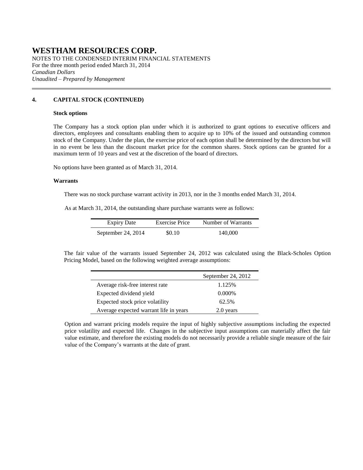NOTES TO THE CONDENSED INTERIM FINANCIAL STATEMENTS For the three month period ended March 31, 2014 *Canadian Dollars Unaudited – Prepared by Management*

### **4. CAPITAL STOCK (CONTINUED)**

#### **Stock options**

The Company has a stock option plan under which it is authorized to grant options to executive officers and directors, employees and consultants enabling them to acquire up to 10% of the issued and outstanding common stock of the Company. Under the plan, the exercise price of each option shall be determined by the directors but will in no event be less than the discount market price for the common shares. Stock options can be granted for a maximum term of 10 years and vest at the discretion of the board of directors.

No options have been granted as of March 31, 2014.

#### **Warrants**

There was no stock purchase warrant activity in 2013, nor in the 3 months ended March 31, 2014.

As at March 31, 2014, the outstanding share purchase warrants were as follows:

| <b>Expiry Date</b> | Exercise Price | Number of Warrants |
|--------------------|----------------|--------------------|
| September 24, 2014 | \$0.10         | 140,000            |

The fair value of the warrants issued September 24, 2012 was calculated using the Black-Scholes Option Pricing Model, based on the following weighted average assumptions:

|                                        | September 24, 2012 |
|----------------------------------------|--------------------|
| Average risk-free interest rate        | 1.125%             |
| Expected dividend yield                | $0.000\%$          |
| Expected stock price volatility        | 62.5%              |
| Average expected warrant life in years | 2.0 years          |

Option and warrant pricing models require the input of highly subjective assumptions including the expected price volatility and expected life. Changes in the subjective input assumptions can materially affect the fair value estimate, and therefore the existing models do not necessarily provide a reliable single measure of the fair value of the Company's warrants at the date of grant.